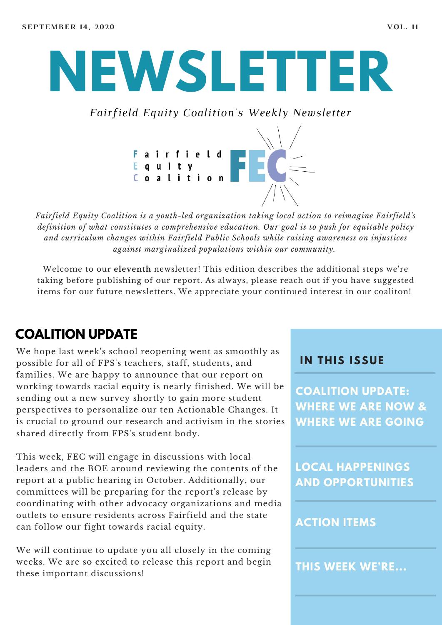# **NEWSLETTER**

*Fairfield Equity Coalition's Weekly Newsletter*



*Fairfield Equity Coalition is a youth-led organization taking local action to reimagine Fairfield's definition of what constitutes a comprehensive education. Our goal is to push for equitable policy and curriculum changes within Fairfield Public Schools while raising awareness on injustices against marginalized populations within our community.*

Welcome to our **eleventh** newsletter! This edition describes the additional steps we're taking before publishing of our report. As always, please reach out if you have suggested items for our future newsletters. We appreciate your continued interest in our coaliton!

## **COALITION UPDATE**

We hope last week's school reopening went as smoothly as possible for all of FPS's teachers, staff, students, and families. We are happy to announce that our report on working towards racial equity is nearly finished. We will be sending out a new survey shortly to gain more student perspectives to personalize our ten Actionable Changes. It is crucial to ground our research and activism in the stories shared directly from FPS's student body.

This week, FEC will engage in discussions with local leaders and the BOE around reviewing the contents of the report at a public hearing in October. Additionally, our committees will be preparing for the report's release by coordinating with other advocacy organizations and media outlets to ensure residents across Fairfield and the state can follow our fight towards racial equity.

We will continue to update you all closely in the coming weeks. We are so excited to release this report and begin these important discussions!

#### **I N THIS ISSUE**

**COALITION UPDATE: WHERE WE ARE NOW & WHERE WE ARE GOING**

**LOCAL HAPPENINGS AND OPPORTUNITIES**

#### **ACTION ITEMS**

**THIS WEEK WE'RE...**